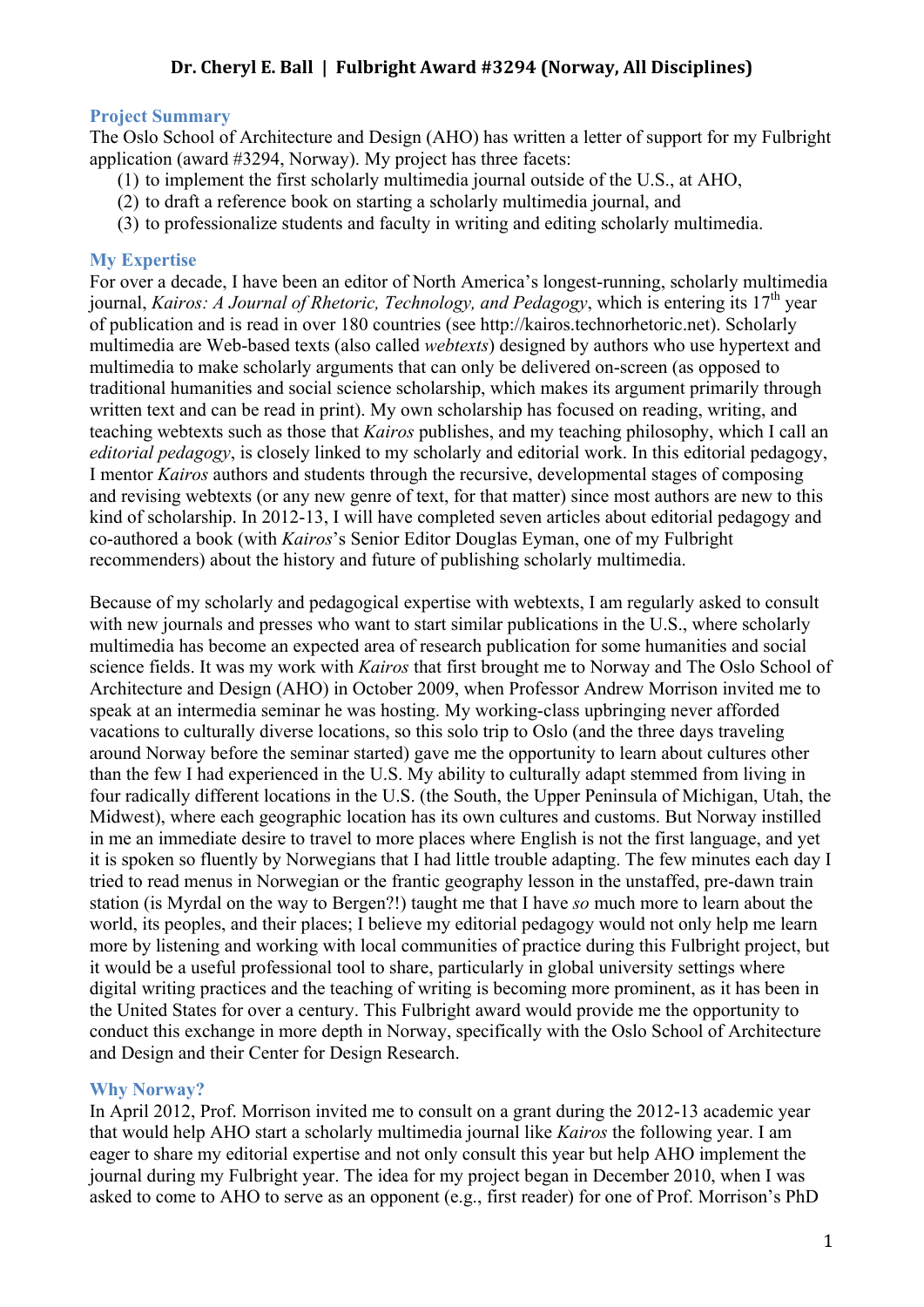#### **Project Summary**

The Oslo School of Architecture and Design (AHO) has written a letter of support for my Fulbright application (award #3294, Norway). My project has three facets:

- (1) to implement the first scholarly multimedia journal outside of the U.S., at AHO,
- (2) to draft a reference book on starting a scholarly multimedia journal, and
- (3) to professionalize students and faculty in writing and editing scholarly multimedia.

#### **My Expertise**

For over a decade, I have been an editor of North America's longest-running, scholarly multimedia journal, *Kairos: A Journal of Rhetoric, Technology, and Pedagogy*, which is entering its 17<sup>th</sup> year of publication and is read in over 180 countries (see http://kairos.technorhetoric.net). Scholarly multimedia are Web-based texts (also called *webtexts*) designed by authors who use hypertext and multimedia to make scholarly arguments that can only be delivered on-screen (as opposed to traditional humanities and social science scholarship, which makes its argument primarily through written text and can be read in print). My own scholarship has focused on reading, writing, and teaching webtexts such as those that *Kairos* publishes, and my teaching philosophy, which I call an *editorial pedagogy*, is closely linked to my scholarly and editorial work. In this editorial pedagogy, I mentor *Kairos* authors and students through the recursive, developmental stages of composing and revising webtexts (or any new genre of text, for that matter) since most authors are new to this kind of scholarship. In 2012-13, I will have completed seven articles about editorial pedagogy and co-authored a book (with *Kairos*'s Senior Editor Douglas Eyman, one of my Fulbright recommenders) about the history and future of publishing scholarly multimedia.

Because of my scholarly and pedagogical expertise with webtexts, I am regularly asked to consult with new journals and presses who want to start similar publications in the U.S., where scholarly multimedia has become an expected area of research publication for some humanities and social science fields. It was my work with *Kairos* that first brought me to Norway and The Oslo School of Architecture and Design (AHO) in October 2009, when Professor Andrew Morrison invited me to speak at an intermedia seminar he was hosting. My working-class upbringing never afforded vacations to culturally diverse locations, so this solo trip to Oslo (and the three days traveling around Norway before the seminar started) gave me the opportunity to learn about cultures other than the few I had experienced in the U.S. My ability to culturally adapt stemmed from living in four radically different locations in the U.S. (the South, the Upper Peninsula of Michigan, Utah, the Midwest), where each geographic location has its own cultures and customs. But Norway instilled in me an immediate desire to travel to more places where English is not the first language, and yet it is spoken so fluently by Norwegians that I had little trouble adapting. The few minutes each day I tried to read menus in Norwegian or the frantic geography lesson in the unstaffed, pre-dawn train station (is Myrdal on the way to Bergen?!) taught me that I have *so* much more to learn about the world, its peoples, and their places; I believe my editorial pedagogy would not only help me learn more by listening and working with local communities of practice during this Fulbright project, but it would be a useful professional tool to share, particularly in global university settings where digital writing practices and the teaching of writing is becoming more prominent, as it has been in the United States for over a century. This Fulbright award would provide me the opportunity to conduct this exchange in more depth in Norway, specifically with the Oslo School of Architecture and Design and their Center for Design Research.

#### **Why Norway?**

In April 2012, Prof. Morrison invited me to consult on a grant during the 2012-13 academic year that would help AHO start a scholarly multimedia journal like *Kairos* the following year. I am eager to share my editorial expertise and not only consult this year but help AHO implement the journal during my Fulbright year. The idea for my project began in December 2010, when I was asked to come to AHO to serve as an opponent (e.g., first reader) for one of Prof. Morrison's PhD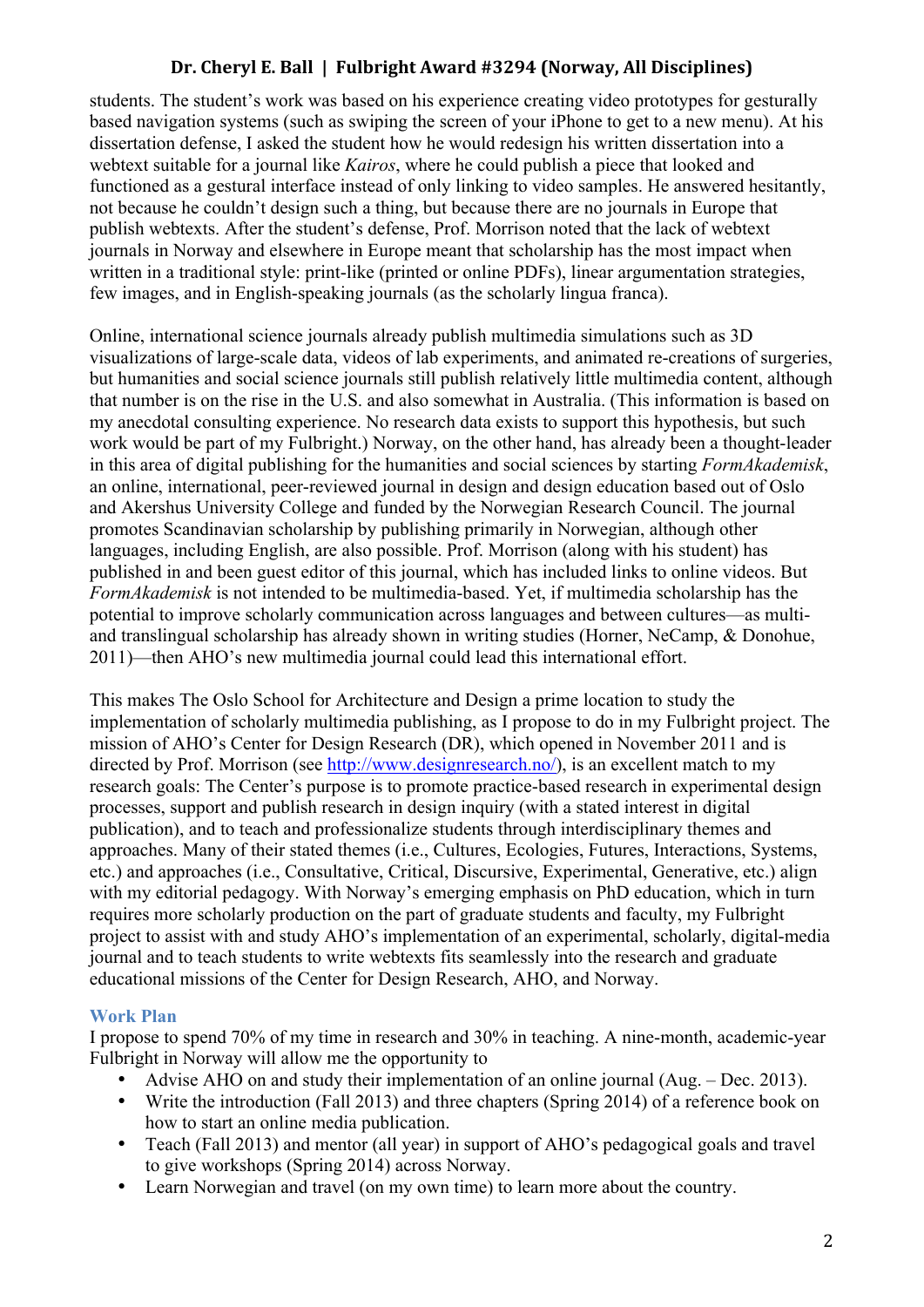students. The student's work was based on his experience creating video prototypes for gesturally based navigation systems (such as swiping the screen of your iPhone to get to a new menu). At his dissertation defense, I asked the student how he would redesign his written dissertation into a webtext suitable for a journal like *Kairos*, where he could publish a piece that looked and functioned as a gestural interface instead of only linking to video samples. He answered hesitantly, not because he couldn't design such a thing, but because there are no journals in Europe that publish webtexts. After the student's defense, Prof. Morrison noted that the lack of webtext journals in Norway and elsewhere in Europe meant that scholarship has the most impact when written in a traditional style: print-like (printed or online PDFs), linear argumentation strategies, few images, and in English-speaking journals (as the scholarly lingua franca).

Online, international science journals already publish multimedia simulations such as 3D visualizations of large-scale data, videos of lab experiments, and animated re-creations of surgeries, but humanities and social science journals still publish relatively little multimedia content, although that number is on the rise in the U.S. and also somewhat in Australia. (This information is based on my anecdotal consulting experience. No research data exists to support this hypothesis, but such work would be part of my Fulbright.) Norway, on the other hand, has already been a thought-leader in this area of digital publishing for the humanities and social sciences by starting *FormAkademisk*, an online, international, peer-reviewed journal in design and design education based out of Oslo and Akershus University College and funded by the Norwegian Research Council. The journal promotes Scandinavian scholarship by publishing primarily in Norwegian, although other languages, including English, are also possible. Prof. Morrison (along with his student) has published in and been guest editor of this journal, which has included links to online videos. But *FormAkademisk* is not intended to be multimedia-based. Yet, if multimedia scholarship has the potential to improve scholarly communication across languages and between cultures—as multiand translingual scholarship has already shown in writing studies (Horner, NeCamp, & Donohue, 2011)—then AHO's new multimedia journal could lead this international effort.

This makes The Oslo School for Architecture and Design a prime location to study the implementation of scholarly multimedia publishing, as I propose to do in my Fulbright project. The mission of AHO's Center for Design Research (DR), which opened in November 2011 and is directed by Prof. Morrison (see http://www.designresearch.no/), is an excellent match to my research goals: The Center's purpose is to promote practice-based research in experimental design processes, support and publish research in design inquiry (with a stated interest in digital publication), and to teach and professionalize students through interdisciplinary themes and approaches. Many of their stated themes (i.e., Cultures, Ecologies, Futures, Interactions, Systems, etc.) and approaches (i.e., Consultative, Critical, Discursive, Experimental, Generative, etc.) align with my editorial pedagogy. With Norway's emerging emphasis on PhD education, which in turn requires more scholarly production on the part of graduate students and faculty, my Fulbright project to assist with and study AHO's implementation of an experimental, scholarly, digital-media journal and to teach students to write webtexts fits seamlessly into the research and graduate educational missions of the Center for Design Research, AHO, and Norway.

### **Work Plan**

I propose to spend 70% of my time in research and 30% in teaching. A nine-month, academic-year Fulbright in Norway will allow me the opportunity to

- Advise AHO on and study their implementation of an online journal (Aug. Dec. 2013).<br>• Write the introduction (Fall 2013) and three chapters (Spring 2014) of a reference book or
- Write the introduction (Fall 2013) and three chapters (Spring 2014) of a reference book on how to start an online media publication.
- Teach (Fall 2013) and mentor (all year) in support of AHO's pedagogical goals and travel to give workshops (Spring 2014) across Norway.
- Learn Norwegian and travel (on my own time) to learn more about the country.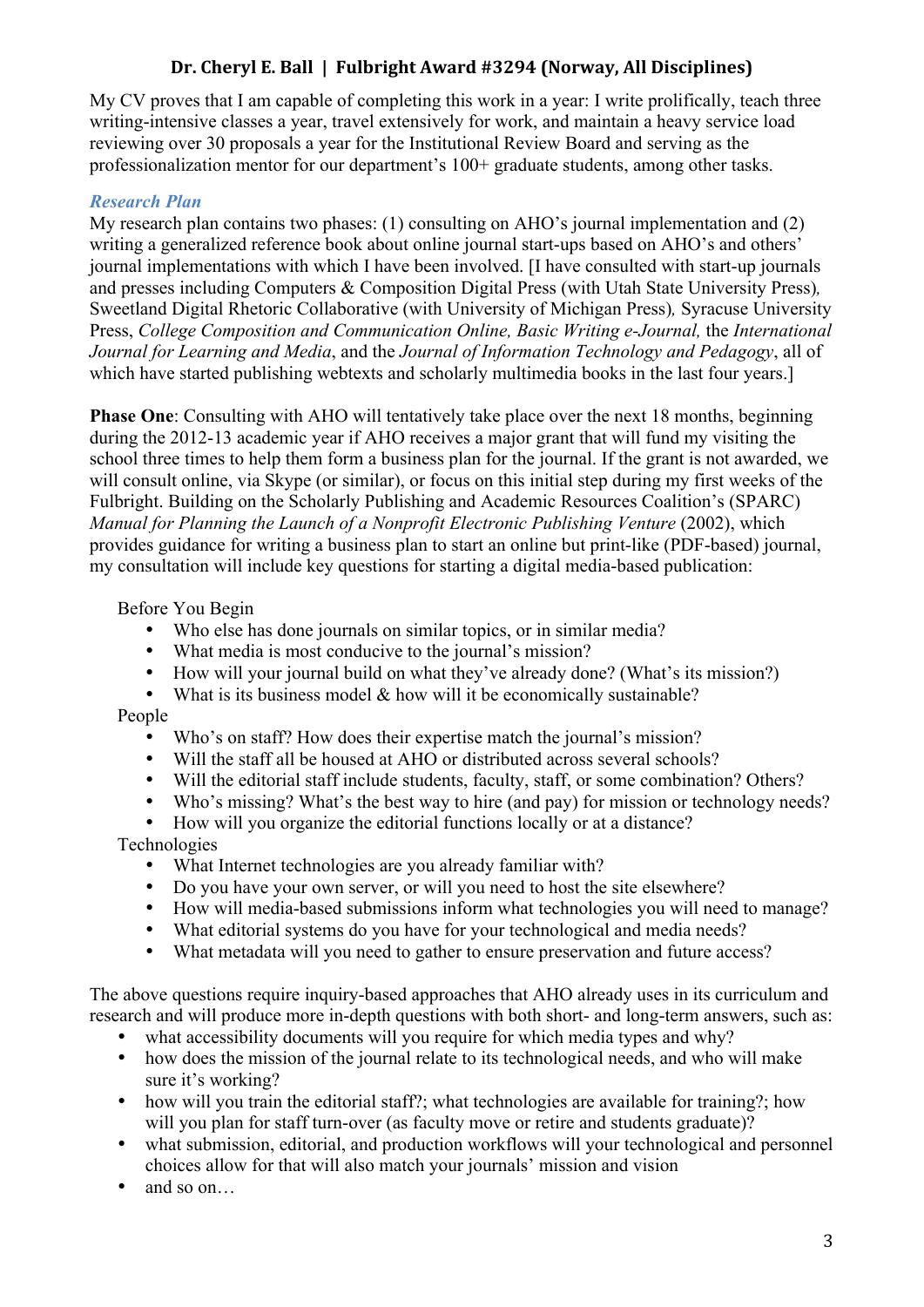My CV proves that I am capable of completing this work in a year: I write prolifically, teach three writing-intensive classes a year, travel extensively for work, and maintain a heavy service load reviewing over 30 proposals a year for the Institutional Review Board and serving as the professionalization mentor for our department's 100+ graduate students, among other tasks.

## *Research Plan*

My research plan contains two phases: (1) consulting on AHO's journal implementation and (2) writing a generalized reference book about online journal start-ups based on AHO's and others' journal implementations with which I have been involved. [I have consulted with start-up journals and presses including Computers & Composition Digital Press (with Utah State University Press)*,*  Sweetland Digital Rhetoric Collaborative (with University of Michigan Press)*,* Syracuse University Press, *College Composition and Communication Online, Basic Writing e-Journal, the International Journal for Learning and Media*, and the *Journal of Information Technology and Pedagogy*, all of which have started publishing webtexts and scholarly multimedia books in the last four years.

**Phase One**: Consulting with AHO will tentatively take place over the next 18 months, beginning during the 2012-13 academic year if AHO receives a major grant that will fund my visiting the school three times to help them form a business plan for the journal. If the grant is not awarded, we will consult online, via Skype (or similar), or focus on this initial step during my first weeks of the Fulbright. Building on the Scholarly Publishing and Academic Resources Coalition's (SPARC) *Manual for Planning the Launch of a Nonprofit Electronic Publishing Venture* (2002), which provides guidance for writing a business plan to start an online but print-like (PDF-based) journal, my consultation will include key questions for starting a digital media-based publication:

### Before You Begin

- Who else has done journals on similar topics, or in similar media?
- What media is most conducive to the journal's mission?<br>• How will your journal build on what they've already don
- How will your journal build on what they've already done? (What's its mission?)<br>• What is its business model  $\&$  how will it be economically sustainable?
- What is its business model  $\&$  how will it be economically sustainable?

### People

- Who's on staff? How does their expertise match the journal's mission?<br>• Will the staff all be housed at AHO or distributed across several school
- Will the staff all be housed at AHO or distributed across several schools?
- Will the editorial staff include students, faculty, staff, or some combination? Others?
- Who's missing? What's the best way to hire (and pay) for mission or technology needs?<br>• How will you organize the editorial functions locally or at a distance?
- How will you organize the editorial functions locally or at a distance?

## Technologies

- What Internet technologies are you already familiar with?
- Do you have your own server, or will you need to host the site elsewhere?<br>• How will media-based submissions inform what technologies you will nee
- How will media-based submissions inform what technologies you will need to manage?
- What editorial systems do you have for your technological and media needs?<br>• What metadata will you need to gather to ensure preservation and future acce
- What metadata will you need to gather to ensure preservation and future access?

The above questions require inquiry-based approaches that AHO already uses in its curriculum and research and will produce more in-depth questions with both short- and long-term answers, such as:

- what accessibility documents will you require for which media types and why?
- how does the mission of the journal relate to its technological needs, and who will make sure it's working?
- how will you train the editorial staff?; what technologies are available for training?; how will you plan for staff turn-over (as faculty move or retire and students graduate)?
- what submission, editorial, and production workflows will your technological and personnel choices allow for that will also match your journals' mission and vision
- and so on...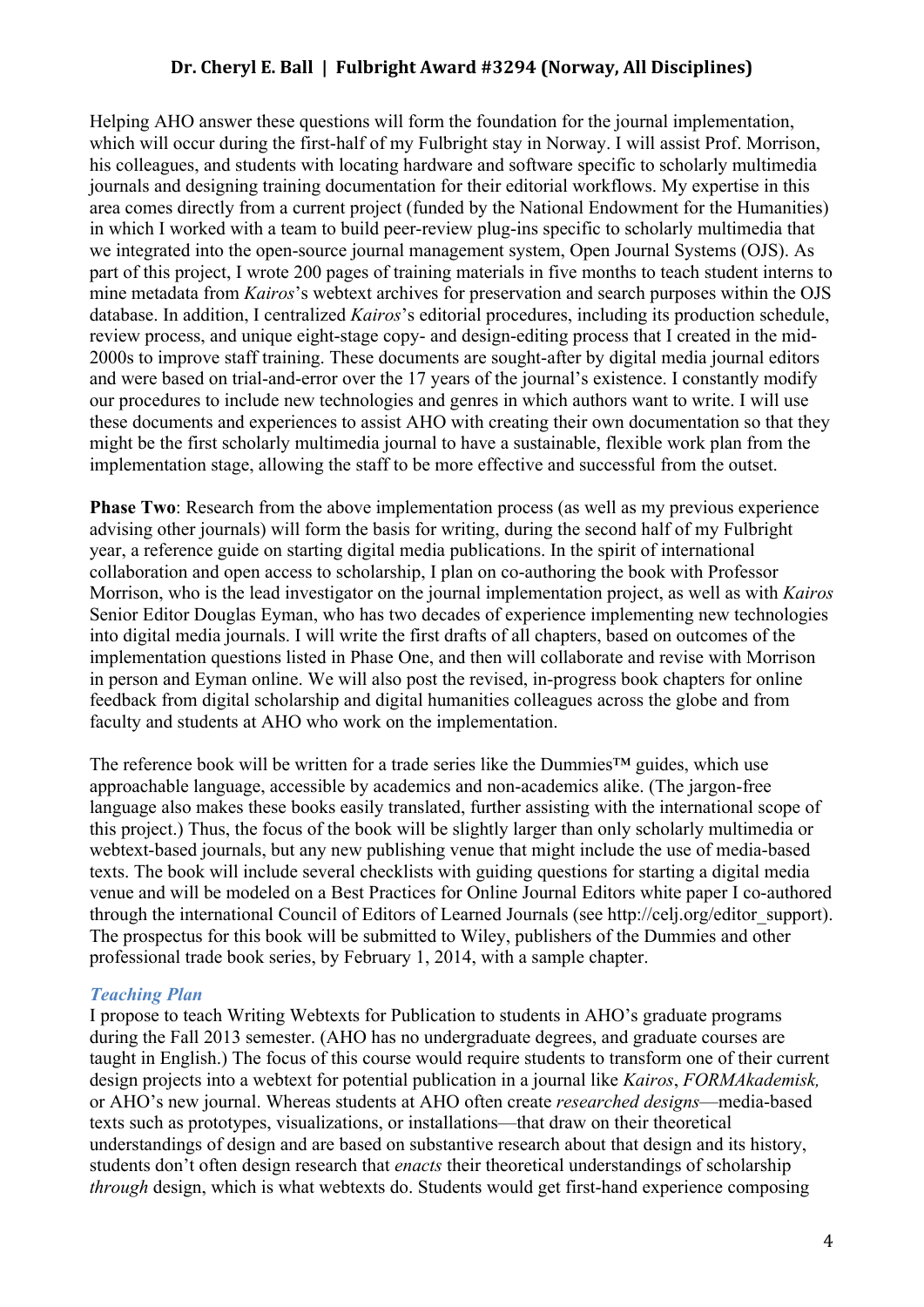Helping AHO answer these questions will form the foundation for the journal implementation, which will occur during the first-half of my Fulbright stay in Norway. I will assist Prof. Morrison, his colleagues, and students with locating hardware and software specific to scholarly multimedia journals and designing training documentation for their editorial workflows. My expertise in this area comes directly from a current project (funded by the National Endowment for the Humanities) in which I worked with a team to build peer-review plug-ins specific to scholarly multimedia that we integrated into the open-source journal management system, Open Journal Systems (OJS). As part of this project, I wrote 200 pages of training materials in five months to teach student interns to mine metadata from *Kairos*'s webtext archives for preservation and search purposes within the OJS database. In addition, I centralized *Kairos*'s editorial procedures, including its production schedule, review process, and unique eight-stage copy- and design-editing process that I created in the mid-2000s to improve staff training. These documents are sought-after by digital media journal editors and were based on trial-and-error over the 17 years of the journal's existence. I constantly modify our procedures to include new technologies and genres in which authors want to write. I will use these documents and experiences to assist AHO with creating their own documentation so that they might be the first scholarly multimedia journal to have a sustainable, flexible work plan from the implementation stage, allowing the staff to be more effective and successful from the outset.

**Phase Two**: Research from the above implementation process (as well as my previous experience advising other journals) will form the basis for writing, during the second half of my Fulbright year, a reference guide on starting digital media publications. In the spirit of international collaboration and open access to scholarship, I plan on co-authoring the book with Professor Morrison, who is the lead investigator on the journal implementation project, as well as with *Kairos*  Senior Editor Douglas Eyman, who has two decades of experience implementing new technologies into digital media journals. I will write the first drafts of all chapters, based on outcomes of the implementation questions listed in Phase One, and then will collaborate and revise with Morrison in person and Eyman online. We will also post the revised, in-progress book chapters for online feedback from digital scholarship and digital humanities colleagues across the globe and from faculty and students at AHO who work on the implementation.

The reference book will be written for a trade series like the Dummies™ guides, which use approachable language, accessible by academics and non-academics alike. (The jargon-free language also makes these books easily translated, further assisting with the international scope of this project.) Thus, the focus of the book will be slightly larger than only scholarly multimedia or webtext-based journals, but any new publishing venue that might include the use of media-based texts. The book will include several checklists with guiding questions for starting a digital media venue and will be modeled on a Best Practices for Online Journal Editors white paper I co-authored through the international Council of Editors of Learned Journals (see http://celj.org/editor\_support). The prospectus for this book will be submitted to Wiley, publishers of the Dummies and other professional trade book series, by February 1, 2014, with a sample chapter.

#### *Teaching Plan*

I propose to teach Writing Webtexts for Publication to students in AHO's graduate programs during the Fall 2013 semester. (AHO has no undergraduate degrees, and graduate courses are taught in English.) The focus of this course would require students to transform one of their current design projects into a webtext for potential publication in a journal like *Kairos*, *FORMAkademisk,*  or AHO's new journal. Whereas students at AHO often create *researched designs*—media-based texts such as prototypes, visualizations, or installations—that draw on their theoretical understandings of design and are based on substantive research about that design and its history, students don't often design research that *enacts* their theoretical understandings of scholarship *through* design, which is what webtexts do. Students would get first-hand experience composing